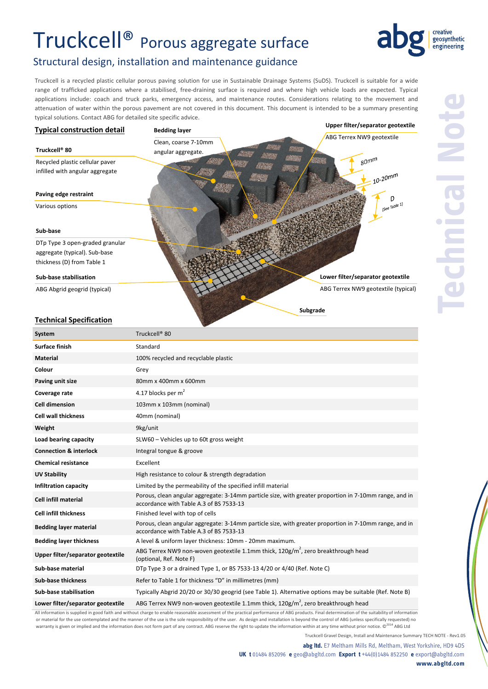# Truckcell® Porous aggregate surface



### Structural design, installation and maintenance guidance

Truckcell is a recycled plastic cellular porous paving solution for use in Sustainable Drainage Systems (SuDS). Truckcell is suitable for a wide range of trafficked applications where a stabilised, free‐draining surface is required and where high vehicle loads are expected. Typical applications include: coach and truck parks, emergency access, and maintenance routes. Considerations relating to the movement and attenuation of water within the porous pavement are not covered in this document. This document is intended to be a summary presenting typical solutions. Contact ABG for detailed site specific advice.



All information is supplied in good faith and without charge to enable reasonable assessment of the practical performance of ABG products. Final determination of the suitability of information or material for the use contemplated and the manner of the use is the sole responsibility of the user. As design and installation is beyond the control of ABG (unless specifically requested) no warranty is given or implied and the information does not form part of any contract. ABG reserve the right to update the information within at any time without prior notice. © 2014 ABG Ltd

**abg ltd.** E7 Meltham Mills Rd, Meltham, West Yorkshire, HD9 4DS